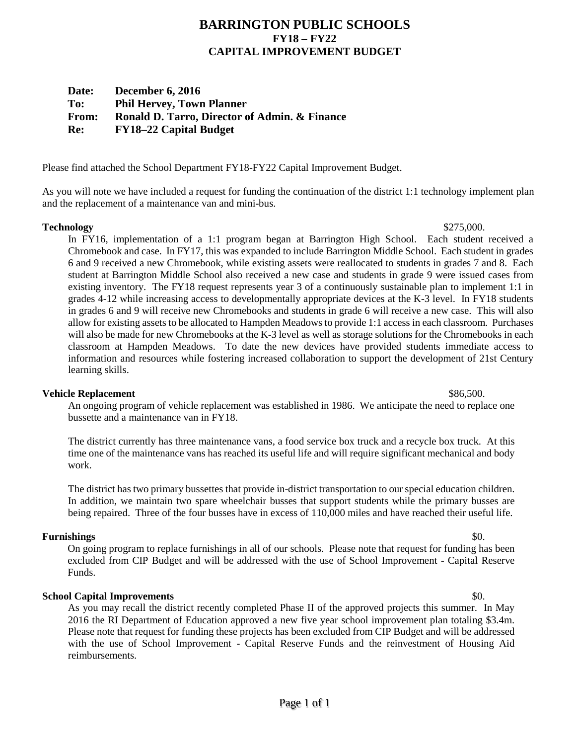# **BARRINGTON PUBLIC SCHOOLS FY18 – FY22 CAPITAL IMPROVEMENT BUDGET**

# **Date: December 6, 2016 To: Phil Hervey, Town Planner From: Ronald D. Tarro, Director of Admin. & Finance Re: FY18–22 Capital Budget**

Please find attached the School Department FY18-FY22 Capital Improvement Budget.

As you will note we have included a request for funding the continuation of the district 1:1 technology implement plan and the replacement of a maintenance van and mini-bus.

# **Technology** \$275,000.

In FY16, implementation of a 1:1 program began at Barrington High School. Each student received a Chromebook and case. In FY17, this was expanded to include Barrington Middle School. Each student in grades 6 and 9 received a new Chromebook, while existing assets were reallocated to students in grades 7 and 8. Each student at Barrington Middle School also received a new case and students in grade 9 were issued cases from existing inventory. The FY18 request represents year 3 of a continuously sustainable plan to implement 1:1 in grades 4-12 while increasing access to developmentally appropriate devices at the K-3 level. In FY18 students in grades 6 and 9 will receive new Chromebooks and students in grade 6 will receive a new case. This will also allow for existing assets to be allocated to Hampden Meadows to provide 1:1 access in each classroom. Purchases will also be made for new Chromebooks at the K-3 level as well as storage solutions for the Chromebooks in each classroom at Hampden Meadows. To date the new devices have provided students immediate access to information and resources while fostering increased collaboration to support the development of 21st Century learning skills.

#### **Vehicle Replacement**  $$86,500$ .

An ongoing program of vehicle replacement was established in 1986. We anticipate the need to replace one bussette and a maintenance van in FY18.

The district currently has three maintenance vans, a food service box truck and a recycle box truck. At this time one of the maintenance vans has reached its useful life and will require significant mechanical and body work.

The district has two primary bussettes that provide in-district transportation to our special education children. In addition, we maintain two spare wheelchair busses that support students while the primary busses are being repaired. Three of the four busses have in excess of 110,000 miles and have reached their useful life.

#### **Furnishings** \$0.

On going program to replace furnishings in all of our schools. Please note that request for funding has been excluded from CIP Budget and will be addressed with the use of School Improvement - Capital Reserve Funds.

# **School Capital Improvements**  $\text{\$0.}$

As you may recall the district recently completed Phase II of the approved projects this summer. In May 2016 the RI Department of Education approved a new five year school improvement plan totaling \$3.4m. Please note that request for funding these projects has been excluded from CIP Budget and will be addressed with the use of School Improvement - Capital Reserve Funds and the reinvestment of Housing Aid reimbursements.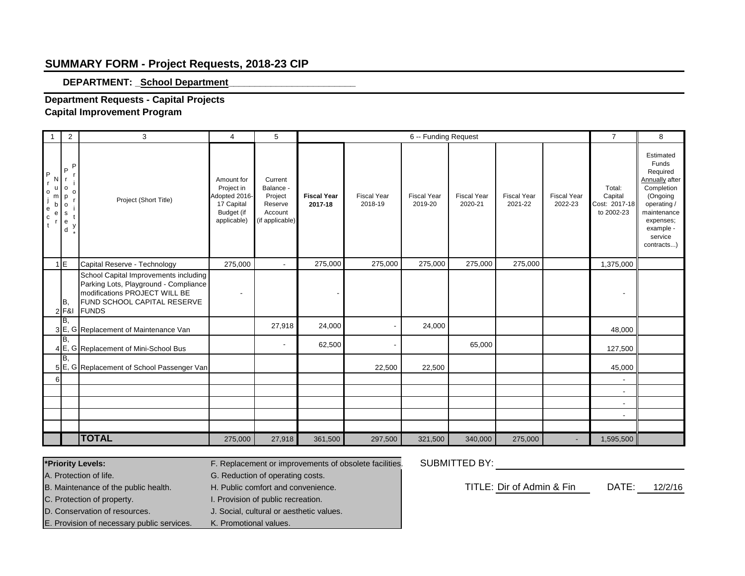# **SUMMARY FORM - Project Requests, 2018-23 CIP**

# **DEPARTMENT: \_School Department\_\_\_\_\_\_\_\_\_\_\_\_\_\_\_\_\_\_\_\_\_\_\_\_**

#### **Capital Improvement Program Department Requests - Capital Projects**

|                                                                           | $\overline{2}$                                                        | 3                                                                                                                                                              | $\overline{4}$                                                                       | 5                                                                        |                               |                               | $\overline{7}$                | 8                             |                               |                               |                                                  |                                                                                                                                                                   |
|---------------------------------------------------------------------------|-----------------------------------------------------------------------|----------------------------------------------------------------------------------------------------------------------------------------------------------------|--------------------------------------------------------------------------------------|--------------------------------------------------------------------------|-------------------------------|-------------------------------|-------------------------------|-------------------------------|-------------------------------|-------------------------------|--------------------------------------------------|-------------------------------------------------------------------------------------------------------------------------------------------------------------------|
| P<br>N<br>$\mathbf{r}$<br>u<br>o<br>m<br>b<br>e<br>e<br>c<br>$\mathbf{t}$ | P<br>P<br>$\mathsf{o}$<br>$\circ$<br>p<br>$\mathsf{o}$<br>s<br>e<br>d | Project (Short Title)                                                                                                                                          | Amount for<br>Project in<br>Adopted 2016-<br>17 Capital<br>Budget (if<br>applicable) | Current<br>Balance -<br>Project<br>Reserve<br>Account<br>(if applicable) | <b>Fiscal Year</b><br>2017-18 | <b>Fiscal Year</b><br>2018-19 | <b>Fiscal Year</b><br>2019-20 | <b>Fiscal Year</b><br>2020-21 | <b>Fiscal Year</b><br>2021-22 | <b>Fiscal Year</b><br>2022-23 | Total:<br>Capital<br>Cost: 2017-18<br>to 2002-23 | Estimated<br>Funds<br>Required<br><b>Annually</b> after<br>Completion<br>(Ongoing<br>operating/<br>maintenance<br>expenses;<br>example -<br>service<br>contracts) |
|                                                                           | 1E                                                                    | Capital Reserve - Technology                                                                                                                                   | 275,000                                                                              | $\overline{\phantom{a}}$                                                 | 275,000                       | 275,000                       | 275,000                       | 275,000                       | 275,000                       |                               | 1,375,000                                        |                                                                                                                                                                   |
|                                                                           | IB.<br>$2$ F&I                                                        | School Capital Improvements including<br>Parking Lots, Playground - Compliance<br>modifications PROJECT WILL BE<br>FUND SCHOOL CAPITAL RESERVE<br><b>FUNDS</b> |                                                                                      |                                                                          |                               |                               |                               |                               |                               |                               |                                                  |                                                                                                                                                                   |
|                                                                           | IB.                                                                   | 3 E, G Replacement of Maintenance Van                                                                                                                          |                                                                                      | 27,918                                                                   | 24,000                        |                               | 24,000                        |                               |                               |                               | 48,000                                           |                                                                                                                                                                   |
|                                                                           | B,                                                                    | 4 E, G Replacement of Mini-School Bus                                                                                                                          |                                                                                      | $\overline{\phantom{a}}$                                                 | 62,500                        |                               |                               | 65,000                        |                               |                               | 127,500                                          |                                                                                                                                                                   |
|                                                                           | IB.                                                                   | 5 E, G Replacement of School Passenger Van                                                                                                                     |                                                                                      |                                                                          |                               | 22,500                        | 22,500                        |                               |                               |                               | 45,000                                           |                                                                                                                                                                   |
| 6                                                                         |                                                                       |                                                                                                                                                                |                                                                                      |                                                                          |                               |                               |                               |                               |                               |                               |                                                  |                                                                                                                                                                   |
|                                                                           |                                                                       |                                                                                                                                                                |                                                                                      |                                                                          |                               |                               |                               |                               |                               |                               |                                                  |                                                                                                                                                                   |
|                                                                           |                                                                       |                                                                                                                                                                |                                                                                      |                                                                          |                               |                               |                               |                               |                               |                               | $\overline{\phantom{a}}$                         |                                                                                                                                                                   |
|                                                                           |                                                                       |                                                                                                                                                                |                                                                                      |                                                                          |                               |                               |                               |                               |                               |                               | $\overline{\phantom{a}}$                         |                                                                                                                                                                   |
|                                                                           |                                                                       |                                                                                                                                                                |                                                                                      |                                                                          |                               |                               |                               |                               |                               |                               |                                                  |                                                                                                                                                                   |
|                                                                           |                                                                       | <b>TOTAL</b>                                                                                                                                                   | 275,000                                                                              | 27,918                                                                   | 361,500                       | 297,500                       | 321,500                       | 340,000                       | 275,000                       | $\blacksquare$                | 1,595,500                                        |                                                                                                                                                                   |

**\*Priority Levels:** F. Replacement or improvements of obsolete facilities. SUBMITTED BY:

- A. Protection of life. **G. Reduction of operating costs.** 
	-
- C. Protection of property. **I. Provision of public recreation.**

D. Conservation of resources. J. Social, cultural or aesthetic values.

E. Provision of necessary public services. K. Promotional values.

B. Maintenance of the public health. H. Public comfort and convenience. The Same TITLE: Dir of Admin & Fin DATE: 12/2/16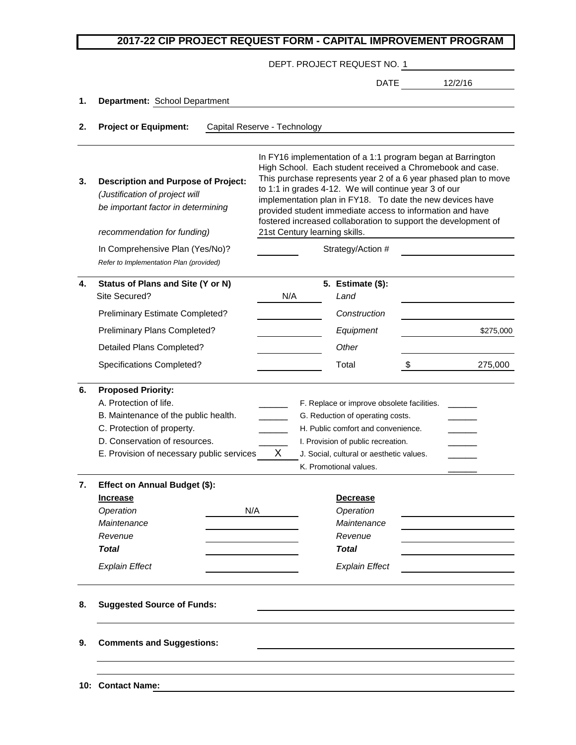|    |                                                                                                                                                                                                         |     | DEPT. PROJECT REQUEST NO. 1                                                                                                                                                                                                      |             |                                                                                                                                                                                                                                                                                                                                                                                         |
|----|---------------------------------------------------------------------------------------------------------------------------------------------------------------------------------------------------------|-----|----------------------------------------------------------------------------------------------------------------------------------------------------------------------------------------------------------------------------------|-------------|-----------------------------------------------------------------------------------------------------------------------------------------------------------------------------------------------------------------------------------------------------------------------------------------------------------------------------------------------------------------------------------------|
|    |                                                                                                                                                                                                         |     |                                                                                                                                                                                                                                  | <b>DATE</b> | 12/2/16                                                                                                                                                                                                                                                                                                                                                                                 |
| 1. | Department: School Department                                                                                                                                                                           |     |                                                                                                                                                                                                                                  |             |                                                                                                                                                                                                                                                                                                                                                                                         |
| 2. | <b>Project or Equipment:</b><br>Capital Reserve - Technology                                                                                                                                            |     |                                                                                                                                                                                                                                  |             |                                                                                                                                                                                                                                                                                                                                                                                         |
|    |                                                                                                                                                                                                         |     |                                                                                                                                                                                                                                  |             |                                                                                                                                                                                                                                                                                                                                                                                         |
| 3. | <b>Description and Purpose of Project:</b><br>(Justification of project will<br>be important factor in determining<br>recommendation for funding)                                                       |     | to 1:1 in grades 4-12. We will continue year 3 of our<br>21st Century learning skills.                                                                                                                                           |             | In FY16 implementation of a 1:1 program began at Barrington<br>High School. Each student received a Chromebook and case.<br>This purchase represents year 2 of a 6 year phased plan to move<br>implementation plan in FY18. To date the new devices have<br>provided student immediate access to information and have<br>fostered increased collaboration to support the development of |
|    | In Comprehensive Plan (Yes/No)?                                                                                                                                                                         |     | Strategy/Action #                                                                                                                                                                                                                |             |                                                                                                                                                                                                                                                                                                                                                                                         |
|    | Refer to Implementation Plan (provided)                                                                                                                                                                 |     |                                                                                                                                                                                                                                  |             |                                                                                                                                                                                                                                                                                                                                                                                         |
| 4. | Status of Plans and Site (Y or N)                                                                                                                                                                       |     | 5. Estimate (\$):                                                                                                                                                                                                                |             |                                                                                                                                                                                                                                                                                                                                                                                         |
|    | Site Secured?                                                                                                                                                                                           | N/A | Land                                                                                                                                                                                                                             |             |                                                                                                                                                                                                                                                                                                                                                                                         |
|    | Preliminary Estimate Completed?                                                                                                                                                                         |     | Construction                                                                                                                                                                                                                     |             |                                                                                                                                                                                                                                                                                                                                                                                         |
|    | Preliminary Plans Completed?                                                                                                                                                                            |     | Equipment                                                                                                                                                                                                                        |             | \$275,000                                                                                                                                                                                                                                                                                                                                                                               |
|    | <b>Detailed Plans Completed?</b>                                                                                                                                                                        |     | Other                                                                                                                                                                                                                            |             |                                                                                                                                                                                                                                                                                                                                                                                         |
|    | Specifications Completed?                                                                                                                                                                               |     | Total                                                                                                                                                                                                                            | \$          | 275,000                                                                                                                                                                                                                                                                                                                                                                                 |
| 6. | <b>Proposed Priority:</b><br>A. Protection of life.<br>B. Maintenance of the public health.<br>C. Protection of property.<br>D. Conservation of resources.<br>E. Provision of necessary public services | X   | F. Replace or improve obsolete facilities.<br>G. Reduction of operating costs.<br>H. Public comfort and convenience.<br>I. Provision of public recreation.<br>J. Social, cultural or aesthetic values.<br>K. Promotional values. |             |                                                                                                                                                                                                                                                                                                                                                                                         |
| 7. | Effect on Annual Budget (\$):                                                                                                                                                                           |     |                                                                                                                                                                                                                                  |             |                                                                                                                                                                                                                                                                                                                                                                                         |
|    | <b>Increase</b><br>Operation<br>N/A<br>Maintenance<br>Revenue<br><b>Total</b><br><b>Explain Effect</b>                                                                                                  |     | <b>Decrease</b><br>Operation<br>Maintenance<br>Revenue<br><b>Total</b><br><b>Explain Effect</b>                                                                                                                                  |             |                                                                                                                                                                                                                                                                                                                                                                                         |
| 8. | <b>Suggested Source of Funds:</b>                                                                                                                                                                       |     |                                                                                                                                                                                                                                  |             |                                                                                                                                                                                                                                                                                                                                                                                         |
| 9. | <b>Comments and Suggestions:</b>                                                                                                                                                                        |     |                                                                                                                                                                                                                                  |             |                                                                                                                                                                                                                                                                                                                                                                                         |
|    |                                                                                                                                                                                                         |     |                                                                                                                                                                                                                                  |             |                                                                                                                                                                                                                                                                                                                                                                                         |

**10: Contact Name:**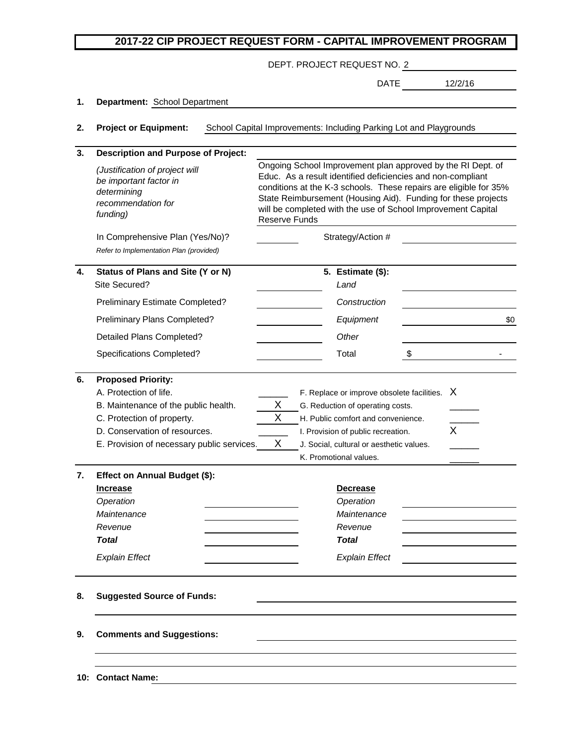DEPT. PROJECT REQUEST NO. 2

DATE 12/2/16

#### **1. Department:** School Department

**2. Project or Equipment:** School Capital Improvements: Including Parking Lot and Playgrounds

| 3. | <b>Description and Purpose of Project:</b>                                                                                                                                  |                                                                                                                                                                                                                                                                                                                                                          |     |  |  |  |  |  |
|----|-----------------------------------------------------------------------------------------------------------------------------------------------------------------------------|----------------------------------------------------------------------------------------------------------------------------------------------------------------------------------------------------------------------------------------------------------------------------------------------------------------------------------------------------------|-----|--|--|--|--|--|
|    | (Justification of project will<br>be important factor in<br>determining<br>recommendation for<br>funding)                                                                   | Ongoing School Improvement plan approved by the RI Dept. of<br>Educ. As a result identified deficiencies and non-compliant<br>conditions at the K-3 schools. These repairs are eligible for 35%<br>State Reimbursement (Housing Aid). Funding for these projects<br>will be completed with the use of School Improvement Capital<br><b>Reserve Funds</b> |     |  |  |  |  |  |
|    | In Comprehensive Plan (Yes/No)?<br>Refer to Implementation Plan (provided)                                                                                                  | Strategy/Action #                                                                                                                                                                                                                                                                                                                                        |     |  |  |  |  |  |
| 4. | Status of Plans and Site (Y or N)<br>Site Secured?                                                                                                                          | 5. Estimate (\$):<br>Land                                                                                                                                                                                                                                                                                                                                |     |  |  |  |  |  |
|    | Preliminary Estimate Completed?                                                                                                                                             | Construction                                                                                                                                                                                                                                                                                                                                             |     |  |  |  |  |  |
|    | Preliminary Plans Completed?                                                                                                                                                | Equipment                                                                                                                                                                                                                                                                                                                                                | \$0 |  |  |  |  |  |
|    | <b>Detailed Plans Completed?</b>                                                                                                                                            | Other                                                                                                                                                                                                                                                                                                                                                    |     |  |  |  |  |  |
|    | Specifications Completed?                                                                                                                                                   | Total<br>\$                                                                                                                                                                                                                                                                                                                                              |     |  |  |  |  |  |
|    | A. Protection of life.<br>B. Maintenance of the public health.<br>C. Protection of property.<br>D. Conservation of resources.<br>E. Provision of necessary public services. | F. Replace or improve obsolete facilities. X<br>Χ<br>G. Reduction of operating costs.<br>X<br>H. Public comfort and convenience.<br>I. Provision of public recreation.<br>X<br>J. Social, cultural or aesthetic values.<br>K. Promotional values.                                                                                                        | X   |  |  |  |  |  |
| 7. | Effect on Annual Budget (\$):                                                                                                                                               |                                                                                                                                                                                                                                                                                                                                                          |     |  |  |  |  |  |
|    | <b>Increase</b>                                                                                                                                                             | <b>Decrease</b>                                                                                                                                                                                                                                                                                                                                          |     |  |  |  |  |  |
|    | Operation                                                                                                                                                                   | Operation                                                                                                                                                                                                                                                                                                                                                |     |  |  |  |  |  |
|    | Maintenance                                                                                                                                                                 | Maintenance<br>Revenue                                                                                                                                                                                                                                                                                                                                   |     |  |  |  |  |  |
|    | Revenue<br><b>Total</b>                                                                                                                                                     | <b>Total</b>                                                                                                                                                                                                                                                                                                                                             |     |  |  |  |  |  |
|    | <b>Explain Effect</b>                                                                                                                                                       | <b>Explain Effect</b>                                                                                                                                                                                                                                                                                                                                    |     |  |  |  |  |  |
| 8. | <b>Suggested Source of Funds:</b>                                                                                                                                           |                                                                                                                                                                                                                                                                                                                                                          |     |  |  |  |  |  |
| 9. | <b>Comments and Suggestions:</b>                                                                                                                                            |                                                                                                                                                                                                                                                                                                                                                          |     |  |  |  |  |  |
|    |                                                                                                                                                                             |                                                                                                                                                                                                                                                                                                                                                          |     |  |  |  |  |  |
|    | 10: Contact Name:                                                                                                                                                           |                                                                                                                                                                                                                                                                                                                                                          |     |  |  |  |  |  |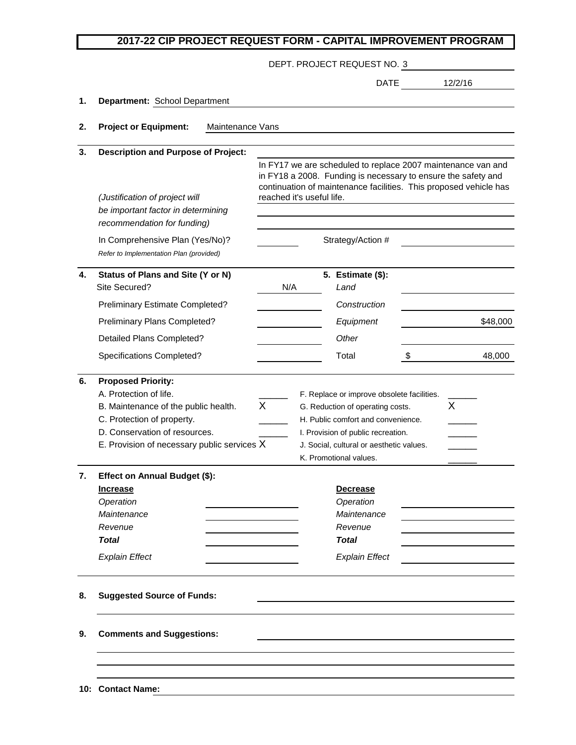| <b>DATE</b><br>12/2/16<br>Department: School Department<br>1.<br><b>Project or Equipment:</b><br>2.<br>Maintenance Vans<br><b>Description and Purpose of Project:</b><br>3.<br>In FY17 we are scheduled to replace 2007 maintenance van and<br>in FY18 a 2008. Funding is necessary to ensure the safety and<br>continuation of maintenance facilities. This proposed vehicle has<br>reached it's useful life.<br>(Justification of project will<br>be important factor in determining<br>recommendation for funding)<br>In Comprehensive Plan (Yes/No)?<br>Strategy/Action #<br>Refer to Implementation Plan (provided)<br>5. Estimate (\$):<br>Status of Plans and Site (Y or N)<br>4.<br>Site Secured?<br>N/A<br>Land<br>Construction<br>Preliminary Estimate Completed?<br>Preliminary Plans Completed?<br>Equipment<br>Detailed Plans Completed?<br>Other<br>Specifications Completed?<br>Total<br>\$<br><b>Proposed Priority:</b><br>6.<br>A. Protection of life.<br>F. Replace or improve obsolete facilities.<br>X<br>X<br>B. Maintenance of the public health.<br>G. Reduction of operating costs.<br>C. Protection of property.<br>H. Public comfort and convenience.<br>D. Conservation of resources.<br>I. Provision of public recreation.<br>E. Provision of necessary public services X<br>J. Social, cultural or aesthetic values.<br>K. Promotional values.<br>Effect on Annual Budget (\$):<br>7.<br><b>Increase</b><br><b>Decrease</b><br>Operation<br>Operation<br>Maintenance<br>Maintenance<br>Revenue<br>Revenue<br><b>Total</b><br><b>Total</b><br><b>Explain Effect</b><br><b>Explain Effect</b><br><b>Suggested Source of Funds:</b><br>8.<br><b>Comments and Suggestions:</b><br>9. |  |  | DEPT. PROJECT REQUEST NO. 3 |  |          |
|---------------------------------------------------------------------------------------------------------------------------------------------------------------------------------------------------------------------------------------------------------------------------------------------------------------------------------------------------------------------------------------------------------------------------------------------------------------------------------------------------------------------------------------------------------------------------------------------------------------------------------------------------------------------------------------------------------------------------------------------------------------------------------------------------------------------------------------------------------------------------------------------------------------------------------------------------------------------------------------------------------------------------------------------------------------------------------------------------------------------------------------------------------------------------------------------------------------------------------------------------------------------------------------------------------------------------------------------------------------------------------------------------------------------------------------------------------------------------------------------------------------------------------------------------------------------------------------------------------------------------------------------------------------------------------------------------------------|--|--|-----------------------------|--|----------|
|                                                                                                                                                                                                                                                                                                                                                                                                                                                                                                                                                                                                                                                                                                                                                                                                                                                                                                                                                                                                                                                                                                                                                                                                                                                                                                                                                                                                                                                                                                                                                                                                                                                                                                               |  |  |                             |  |          |
|                                                                                                                                                                                                                                                                                                                                                                                                                                                                                                                                                                                                                                                                                                                                                                                                                                                                                                                                                                                                                                                                                                                                                                                                                                                                                                                                                                                                                                                                                                                                                                                                                                                                                                               |  |  |                             |  |          |
|                                                                                                                                                                                                                                                                                                                                                                                                                                                                                                                                                                                                                                                                                                                                                                                                                                                                                                                                                                                                                                                                                                                                                                                                                                                                                                                                                                                                                                                                                                                                                                                                                                                                                                               |  |  |                             |  |          |
|                                                                                                                                                                                                                                                                                                                                                                                                                                                                                                                                                                                                                                                                                                                                                                                                                                                                                                                                                                                                                                                                                                                                                                                                                                                                                                                                                                                                                                                                                                                                                                                                                                                                                                               |  |  |                             |  |          |
|                                                                                                                                                                                                                                                                                                                                                                                                                                                                                                                                                                                                                                                                                                                                                                                                                                                                                                                                                                                                                                                                                                                                                                                                                                                                                                                                                                                                                                                                                                                                                                                                                                                                                                               |  |  |                             |  |          |
|                                                                                                                                                                                                                                                                                                                                                                                                                                                                                                                                                                                                                                                                                                                                                                                                                                                                                                                                                                                                                                                                                                                                                                                                                                                                                                                                                                                                                                                                                                                                                                                                                                                                                                               |  |  |                             |  |          |
|                                                                                                                                                                                                                                                                                                                                                                                                                                                                                                                                                                                                                                                                                                                                                                                                                                                                                                                                                                                                                                                                                                                                                                                                                                                                                                                                                                                                                                                                                                                                                                                                                                                                                                               |  |  |                             |  | \$48,000 |
|                                                                                                                                                                                                                                                                                                                                                                                                                                                                                                                                                                                                                                                                                                                                                                                                                                                                                                                                                                                                                                                                                                                                                                                                                                                                                                                                                                                                                                                                                                                                                                                                                                                                                                               |  |  |                             |  | 48,000   |
|                                                                                                                                                                                                                                                                                                                                                                                                                                                                                                                                                                                                                                                                                                                                                                                                                                                                                                                                                                                                                                                                                                                                                                                                                                                                                                                                                                                                                                                                                                                                                                                                                                                                                                               |  |  |                             |  |          |
|                                                                                                                                                                                                                                                                                                                                                                                                                                                                                                                                                                                                                                                                                                                                                                                                                                                                                                                                                                                                                                                                                                                                                                                                                                                                                                                                                                                                                                                                                                                                                                                                                                                                                                               |  |  |                             |  |          |
|                                                                                                                                                                                                                                                                                                                                                                                                                                                                                                                                                                                                                                                                                                                                                                                                                                                                                                                                                                                                                                                                                                                                                                                                                                                                                                                                                                                                                                                                                                                                                                                                                                                                                                               |  |  |                             |  |          |
|                                                                                                                                                                                                                                                                                                                                                                                                                                                                                                                                                                                                                                                                                                                                                                                                                                                                                                                                                                                                                                                                                                                                                                                                                                                                                                                                                                                                                                                                                                                                                                                                                                                                                                               |  |  |                             |  |          |
|                                                                                                                                                                                                                                                                                                                                                                                                                                                                                                                                                                                                                                                                                                                                                                                                                                                                                                                                                                                                                                                                                                                                                                                                                                                                                                                                                                                                                                                                                                                                                                                                                                                                                                               |  |  |                             |  |          |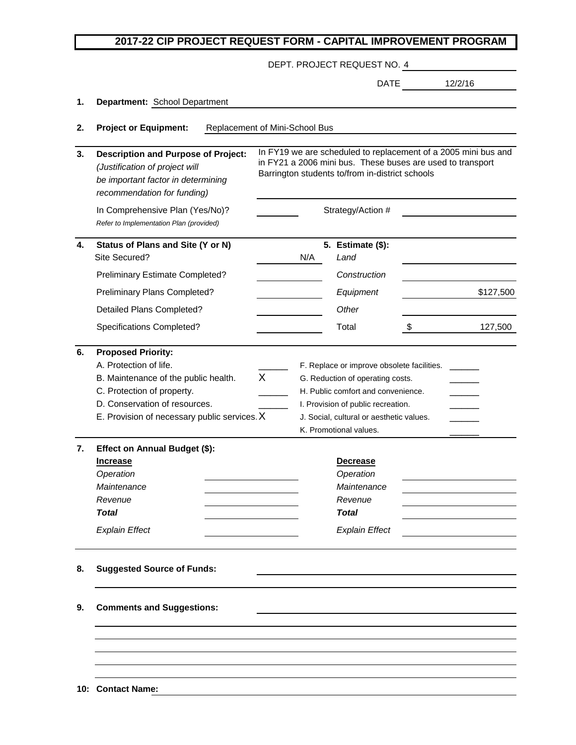DEPT. PROJECT REQUEST NO. <u>4</u>

|    |                                                                                                                                                                               |                                | <b>DATE</b>                                                                                                                                                                                                                      | 12/2/16                                                        |
|----|-------------------------------------------------------------------------------------------------------------------------------------------------------------------------------|--------------------------------|----------------------------------------------------------------------------------------------------------------------------------------------------------------------------------------------------------------------------------|----------------------------------------------------------------|
| 1. | Department: School Department                                                                                                                                                 |                                |                                                                                                                                                                                                                                  |                                                                |
| 2. | <b>Project or Equipment:</b>                                                                                                                                                  | Replacement of Mini-School Bus |                                                                                                                                                                                                                                  |                                                                |
|    |                                                                                                                                                                               |                                |                                                                                                                                                                                                                                  |                                                                |
| 3. | <b>Description and Purpose of Project:</b><br>(Justification of project will<br>be important factor in determining<br>recommendation for funding)                             |                                | in FY21 a 2006 mini bus. These buses are used to transport<br>Barrington students to/from in-district schools                                                                                                                    | In FY19 we are scheduled to replacement of a 2005 mini bus and |
|    | In Comprehensive Plan (Yes/No)?<br>Refer to Implementation Plan (provided)                                                                                                    |                                | Strategy/Action #                                                                                                                                                                                                                |                                                                |
| 4. | Status of Plans and Site (Y or N)<br>Site Secured?                                                                                                                            | N/A                            | 5. Estimate (\$):<br>Land                                                                                                                                                                                                        |                                                                |
|    | Preliminary Estimate Completed?                                                                                                                                               |                                | Construction                                                                                                                                                                                                                     |                                                                |
|    | Preliminary Plans Completed?                                                                                                                                                  |                                | Equipment                                                                                                                                                                                                                        | \$127,500                                                      |
|    | Detailed Plans Completed?                                                                                                                                                     |                                | Other                                                                                                                                                                                                                            |                                                                |
|    | Specifications Completed?                                                                                                                                                     |                                | \$<br>Total                                                                                                                                                                                                                      | 127,500                                                        |
|    | A. Protection of life.<br>B. Maintenance of the public health.<br>C. Protection of property.<br>D. Conservation of resources.<br>E. Provision of necessary public services. X | X                              | F. Replace or improve obsolete facilities.<br>G. Reduction of operating costs.<br>H. Public comfort and convenience.<br>I. Provision of public recreation.<br>J. Social, cultural or aesthetic values.<br>K. Promotional values. | _____                                                          |
| 7. | Effect on Annual Budget (\$):<br><b>Increase</b><br>Operation<br>Maintenance<br>Revenue<br><b>Total</b><br><b>Explain Effect</b>                                              |                                | <b>Decrease</b><br>Operation<br>Maintenance<br>Revenue<br><b>Total</b><br><b>Explain Effect</b>                                                                                                                                  |                                                                |
| 8. | <b>Suggested Source of Funds:</b>                                                                                                                                             |                                |                                                                                                                                                                                                                                  |                                                                |
| 9. | <b>Comments and Suggestions:</b>                                                                                                                                              |                                |                                                                                                                                                                                                                                  |                                                                |
|    |                                                                                                                                                                               |                                |                                                                                                                                                                                                                                  |                                                                |
|    |                                                                                                                                                                               |                                |                                                                                                                                                                                                                                  |                                                                |
|    | 10: Contact Name:                                                                                                                                                             |                                |                                                                                                                                                                                                                                  |                                                                |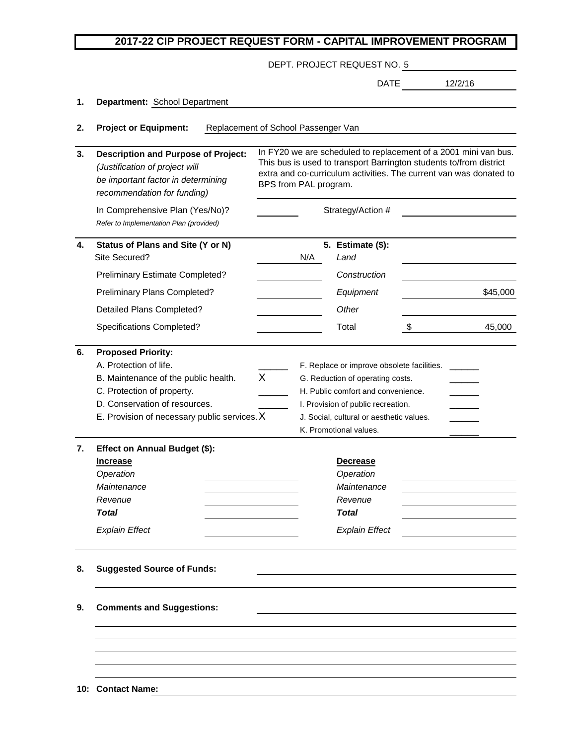|          | 2017-22 CIP PROJECT REQUEST FORM - CAPITAL IMPROVEMENT PROGRAM                                                                                                                                             |   |                                                                                                                                                                                                                                      |                                                                                                                                                                                                                                  |    |          |  |  |
|----------|------------------------------------------------------------------------------------------------------------------------------------------------------------------------------------------------------------|---|--------------------------------------------------------------------------------------------------------------------------------------------------------------------------------------------------------------------------------------|----------------------------------------------------------------------------------------------------------------------------------------------------------------------------------------------------------------------------------|----|----------|--|--|
|          |                                                                                                                                                                                                            |   |                                                                                                                                                                                                                                      | DEPT. PROJECT REQUEST NO. 5                                                                                                                                                                                                      |    |          |  |  |
|          |                                                                                                                                                                                                            |   |                                                                                                                                                                                                                                      | DATE                                                                                                                                                                                                                             |    | 12/2/16  |  |  |
| 1.       | Department: School Department                                                                                                                                                                              |   |                                                                                                                                                                                                                                      |                                                                                                                                                                                                                                  |    |          |  |  |
|          |                                                                                                                                                                                                            |   |                                                                                                                                                                                                                                      |                                                                                                                                                                                                                                  |    |          |  |  |
| 2.       | <b>Project or Equipment:</b><br>Replacement of School Passenger Van                                                                                                                                        |   |                                                                                                                                                                                                                                      |                                                                                                                                                                                                                                  |    |          |  |  |
| 3.       | <b>Description and Purpose of Project:</b><br>(Justification of project will<br>be important factor in determining<br>recommendation for funding)                                                          |   | In FY20 we are scheduled to replacement of a 2001 mini van bus.<br>This bus is used to transport Barrington students to/from district<br>extra and co-curriculum activities. The current van was donated to<br>BPS from PAL program. |                                                                                                                                                                                                                                  |    |          |  |  |
|          | In Comprehensive Plan (Yes/No)?                                                                                                                                                                            |   |                                                                                                                                                                                                                                      | Strategy/Action #                                                                                                                                                                                                                |    |          |  |  |
|          | Refer to Implementation Plan (provided)                                                                                                                                                                    |   |                                                                                                                                                                                                                                      |                                                                                                                                                                                                                                  |    |          |  |  |
| 4.       | Status of Plans and Site (Y or N)<br>Site Secured?                                                                                                                                                         |   | N/A                                                                                                                                                                                                                                  | 5. Estimate (\$):<br>Land                                                                                                                                                                                                        |    |          |  |  |
|          | Preliminary Estimate Completed?                                                                                                                                                                            |   |                                                                                                                                                                                                                                      | Construction                                                                                                                                                                                                                     |    |          |  |  |
|          | Preliminary Plans Completed?                                                                                                                                                                               |   |                                                                                                                                                                                                                                      | Equipment                                                                                                                                                                                                                        |    | \$45,000 |  |  |
|          | Detailed Plans Completed?                                                                                                                                                                                  |   |                                                                                                                                                                                                                                      | Other                                                                                                                                                                                                                            |    |          |  |  |
|          | Specifications Completed?                                                                                                                                                                                  |   |                                                                                                                                                                                                                                      | Total                                                                                                                                                                                                                            | \$ | 45,000   |  |  |
| 6.       | <b>Proposed Priority:</b><br>A. Protection of life.<br>B. Maintenance of the public health.<br>C. Protection of property.<br>D. Conservation of resources.<br>E. Provision of necessary public services. X | X |                                                                                                                                                                                                                                      | F. Replace or improve obsolete facilities.<br>G. Reduction of operating costs.<br>H. Public comfort and convenience.<br>I. Provision of public recreation.<br>J. Social, cultural or aesthetic values.<br>K. Promotional values. |    |          |  |  |
| 7.       | Effect on Annual Budget (\$):<br><b>Increase</b><br>Operation<br>Maintenance<br>Revenue<br><b>Total</b><br><b>Explain Effect</b>                                                                           |   |                                                                                                                                                                                                                                      | <b>Decrease</b><br>Operation<br>Maintenance<br>Revenue<br><b>Total</b><br><b>Explain Effect</b>                                                                                                                                  |    |          |  |  |
| 8.<br>9. | <b>Suggested Source of Funds:</b><br><b>Comments and Suggestions:</b>                                                                                                                                      |   |                                                                                                                                                                                                                                      |                                                                                                                                                                                                                                  |    |          |  |  |
|          |                                                                                                                                                                                                            |   |                                                                                                                                                                                                                                      |                                                                                                                                                                                                                                  |    |          |  |  |

|  | 10: Contact Name: |  |
|--|-------------------|--|
|--|-------------------|--|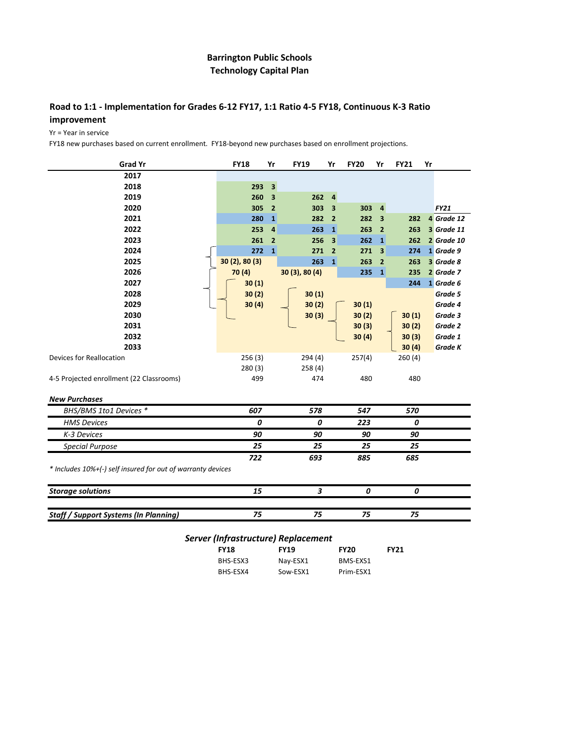# **Barrington Public Schools Technology Capital Plan**

# **Road to 1:1 - Implementation for Grades 6-12 FY17, 1:1 Ratio 4-5 FY18, Continuous K-3 Ratio improvement**

#### Yr = Year in service

FY18 new purchases based on current enrollment. FY18-beyond new purchases based on enrollment projections.

| <b>Grad Yr</b>                                                       | <b>FY18</b>                         | Yr                      | <b>FY19</b>    | Yr                      | <b>FY20</b> | Yr               | <b>FY21</b> | Yr |                |
|----------------------------------------------------------------------|-------------------------------------|-------------------------|----------------|-------------------------|-------------|------------------|-------------|----|----------------|
| 2017                                                                 |                                     |                         |                |                         |             |                  |             |    |                |
| 2018                                                                 | 293                                 | $\overline{\mathbf{3}}$ |                |                         |             |                  |             |    |                |
| 2019                                                                 | 260                                 | 3                       | 262            | $\overline{\mathbf{a}}$ |             |                  |             |    |                |
| 2020                                                                 | 305                                 | $\overline{2}$          | 303            | 3                       | 303         | $\boldsymbol{4}$ |             |    | <b>FY21</b>    |
| 2021                                                                 | 280                                 | $\mathbf{1}$            | 282            | $\overline{2}$          | 282         | 3                | 282         |    | 4 Grade 12     |
| 2022                                                                 | 253                                 | $\overline{\mathbf{4}}$ | 263            | $\mathbf{1}$            | 263         | $\overline{2}$   | 263         |    | 3 Grade 11     |
| 2023                                                                 | 261                                 | $\overline{2}$          | 256            | 3                       | 262         | $\mathbf{1}$     | 262         |    | 2 Grade 10     |
| 2024                                                                 | 272                                 | $\mathbf{1}$            | 271            | $\overline{2}$          | 271         | 3                | 274         |    | 1 Grade 9      |
| 2025                                                                 | 30(2), 80(3)                        |                         | 263            | $\mathbf{1}$            | 263         | $\overline{2}$   | 263         |    | 3 Grade 8      |
| 2026                                                                 | 70 (4)                              |                         | 30 (3), 80 (4) |                         | 235         | $\mathbf{1}$     | 235         |    | 2 Grade 7      |
| 2027                                                                 | 30(1)                               |                         |                |                         |             |                  | 244         |    | 1 Grade 6      |
| 2028                                                                 | 30(2)                               |                         | 30(1)          |                         |             |                  |             |    | Grade 5        |
| 2029                                                                 | 30(4)                               |                         | 30(2)          |                         | 30(1)       |                  |             |    | Grade 4        |
| 2030                                                                 |                                     |                         | 30(3)          |                         | 30(2)       |                  | 30(1)       |    | Grade 3        |
| 2031                                                                 |                                     |                         |                |                         | 30(3)       |                  | 30(2)       |    | Grade 2        |
| 2032                                                                 |                                     |                         |                |                         | 30(4)       |                  | 30(3)       |    | Grade 1        |
| 2033                                                                 |                                     |                         |                |                         |             |                  | 30(4)       |    | <b>Grade K</b> |
| Devices for Reallocation                                             | 256(3)                              |                         | 294(4)         |                         | 257(4)      |                  | 260(4)      |    |                |
|                                                                      | 280(3)                              |                         | 258(4)         |                         |             |                  |             |    |                |
| 4-5 Projected enrollment (22 Classrooms)                             | 499                                 |                         | 474            |                         | 480         |                  | 480         |    |                |
| <b>New Purchases</b>                                                 |                                     |                         |                |                         |             |                  |             |    |                |
| BHS/BMS 1to1 Devices *                                               | 607                                 |                         | 578            |                         | 547         |                  | 570         |    |                |
| <b>HMS Devices</b>                                                   | 0                                   |                         | 0              |                         | 223         |                  | 0           |    |                |
| K-3 Devices                                                          | 90                                  |                         | 90             |                         | 90          |                  | 90          |    |                |
| <b>Special Purpose</b>                                               | 25                                  |                         | 25             |                         | 25          |                  | 25          |    |                |
|                                                                      | 722                                 |                         | 693            |                         | 885         |                  | 685         |    |                |
| * Includes 10%+(-) self insured for out of warranty devices          |                                     |                         |                |                         |             |                  |             |    |                |
| <b>Storage solutions</b>                                             | 15                                  |                         | 3              |                         | 0           |                  | 0           |    |                |
|                                                                      |                                     |                         |                |                         |             |                  |             |    |                |
| <b>Staff / Support Systems (In Planning)</b><br>75<br>75<br>75<br>75 |                                     |                         |                |                         |             |                  |             |    |                |
|                                                                      | Server (Infrastructure) Replacement |                         |                |                         |             |                  |             |    |                |
|                                                                      | <b>FY18</b>                         |                         | <b>FY19</b>    |                         | <b>FY20</b> |                  | <b>FY21</b> |    |                |
|                                                                      | BHS-ESX3                            |                         | Nay-ESX1       |                         | BMS-EXS1    |                  |             |    |                |

BHS-ESX4 Sow-ESX1 Prim-ESX1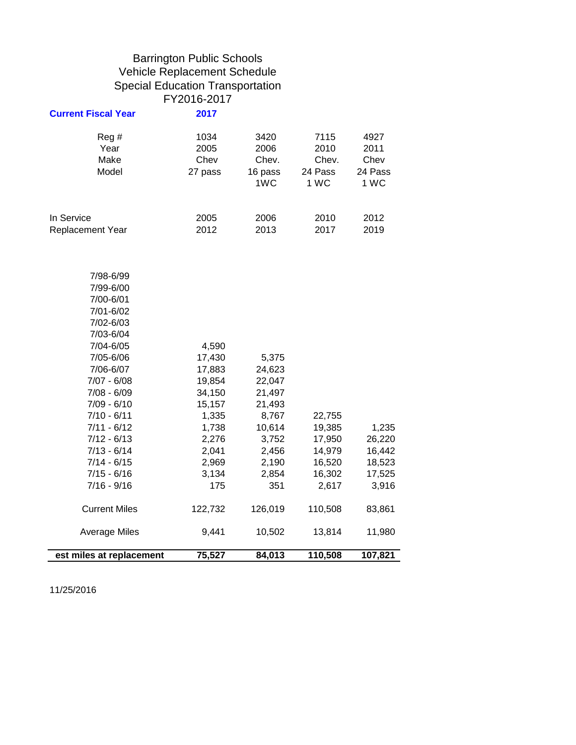# Barrington Public Schools Vehicle Replacement Schedule Special Education Transportation FY2016-2017

| <b>Current Fiscal Year</b>    | 2017                            |                                  |                                  |                                 |
|-------------------------------|---------------------------------|----------------------------------|----------------------------------|---------------------------------|
| Reg#<br>Year<br>Make<br>Model | 1034<br>2005<br>Chev<br>27 pass | 3420<br>2006<br>Chev.<br>16 pass | 7115<br>2010<br>Chev.<br>24 Pass | 4927<br>2011<br>Chev<br>24 Pass |
|                               |                                 | 1WC                              | 1 WC                             | 1 WC                            |
| In Service                    | 2005                            | 2006                             | 2010                             | 2012                            |
| <b>Replacement Year</b>       | 2012                            | 2013                             | 2017                             | 2019                            |
| 7/98-6/99                     |                                 |                                  |                                  |                                 |
| 7/99-6/00                     |                                 |                                  |                                  |                                 |
| 7/00-6/01                     |                                 |                                  |                                  |                                 |
| 7/01-6/02                     |                                 |                                  |                                  |                                 |
| 7/02-6/03                     |                                 |                                  |                                  |                                 |
| 7/03-6/04                     |                                 |                                  |                                  |                                 |
| 7/04-6/05                     | 4,590                           |                                  |                                  |                                 |
| 7/05-6/06<br>7/06-6/07        | 17,430                          | 5,375                            |                                  |                                 |
| $7/07 - 6/08$                 | 17,883<br>19,854                | 24,623<br>22,047                 |                                  |                                 |
| $7/08 - 6/09$                 | 34,150                          | 21,497                           |                                  |                                 |
| $7/09 - 6/10$                 | 15,157                          | 21,493                           |                                  |                                 |
| $7/10 - 6/11$                 | 1,335                           | 8,767                            | 22,755                           |                                 |
| $7/11 - 6/12$                 | 1,738                           | 10,614                           | 19,385                           | 1,235                           |
| $7/12 - 6/13$                 | 2,276                           | 3,752                            | 17,950                           | 26,220                          |
| $7/13 - 6/14$                 | 2,041                           | 2,456                            | 14,979                           | 16,442                          |
| $7/14 - 6/15$                 | 2,969                           | 2,190                            | 16,520                           | 18,523                          |
| $7/15 - 6/16$                 | 3,134                           | 2,854                            | 16,302                           | 17,525                          |
| $7/16 - 9/16$                 | 175                             | 351                              | 2,617                            | 3,916                           |
| <b>Current Miles</b>          | 122,732                         | 126,019                          | 110,508                          | 83,861                          |
| <b>Average Miles</b>          | 9,441                           | 10,502                           | 13,814                           | 11,980                          |
| est miles at replacement      | 75,527                          | 84,013                           | 110,508                          | 107,821                         |

11/25/2016